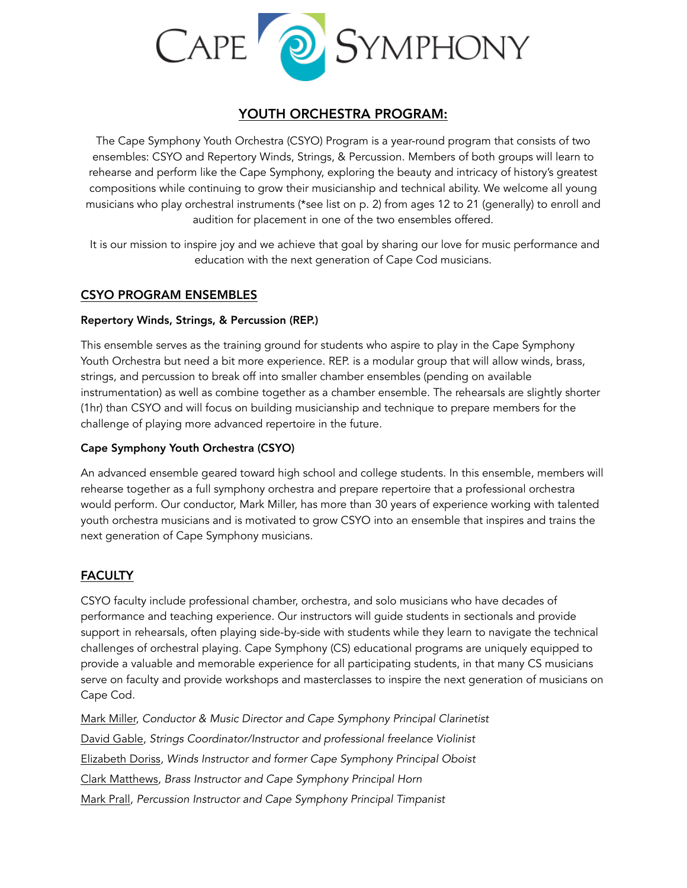

# YOUTH ORCHESTRA PROGRAM:

The Cape Symphony Youth Orchestra (CSYO) Program is a year-round program that consists of two ensembles: CSYO and Repertory Winds, Strings, & Percussion. Members of both groups will learn to rehearse and perform like the Cape Symphony, exploring the beauty and intricacy of history's greatest compositions while continuing to grow their musicianship and technical ability. We welcome all young musicians who play orchestral instruments (\*see list on p. 2) from ages 12 to 21 (generally) to enroll and audition for placement in one of the two ensembles offered.

It is our mission to inspire joy and we achieve that goal by sharing our love for music performance and education with the next generation of Cape Cod musicians.

# CSYO PROGRAM ENSEMBLES

### Repertory Winds, Strings, & Percussion (REP.)

This ensemble serves as the training ground for students who aspire to play in the Cape Symphony Youth Orchestra but need a bit more experience. REP. is a modular group that will allow winds, brass, strings, and percussion to break off into smaller chamber ensembles (pending on available instrumentation) as well as combine together as a chamber ensemble. The rehearsals are slightly shorter (1hr) than CSYO and will focus on building musicianship and technique to prepare members for the challenge of playing more advanced repertoire in the future.

### Cape Symphony Youth Orchestra (CSYO)

An advanced ensemble geared toward high school and college students. In this ensemble, members will rehearse together as a full symphony orchestra and prepare repertoire that a professional orchestra would perform. Our conductor, Mark Miller, has more than 30 years of experience working with talented youth orchestra musicians and is motivated to grow CSYO into an ensemble that inspires and trains the next generation of Cape Symphony musicians.

# **FACULTY**

CSYO faculty include professional chamber, orchestra, and solo musicians who have decades of performance and teaching experience. Our instructors will guide students in sectionals and provide support in rehearsals, often playing side-by-side with students while they learn to navigate the technical challenges of orchestral playing. Cape Symphony (CS) educational programs are uniquely equipped to provide a valuable and memorable experience for all participating students, in that many CS musicians serve on faculty and provide workshops and masterclasses to inspire the next generation of musicians on Cape Cod.

[Mark Miller,](https://www.capesymphony.org/education/classes/faculty/trainer/49-mark-miller) *Conductor & Music Director and Cape Symphony Principal Clarinetist*  [David Gable,](https://www.capesymphony.org/education/classes/faculty/trainer/31-david-gable) *Strings Coordinator/Instructor and professional freelance Violinist* [Elizabeth Doriss](https://www.capesymphony.org/education/classes/faculty/trainer/28-betsy-doriss), *Winds Instructor and former Cape Symphony Principal Oboist* [Clark Matthews](https://www.capesymphony.org/education/classes/faculty/trainer/46-clark-matthews)*, Brass Instructor and Cape Symphony Principal Horn* [Mark Prall](https://www.capesymphony.org/education/classes/faculty/trainer/76-mark-prall)*, Percussion Instructor and Cape Symphony Principal Timpanist*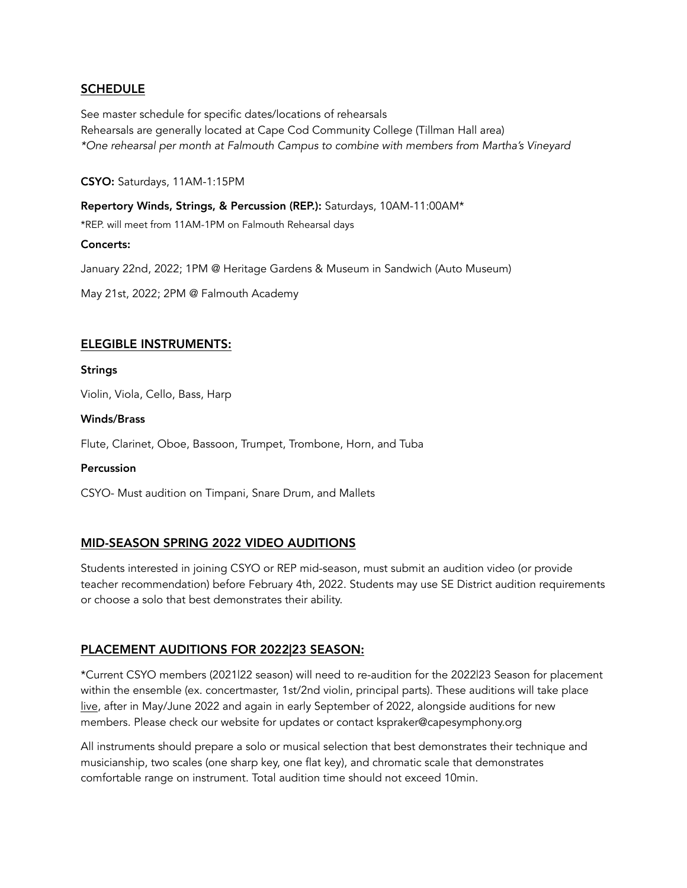# **SCHEDULE**

See master schedule for specific dates/locations of rehearsals Rehearsals are generally located at Cape Cod Community College (Tillman Hall area) *\*One rehearsal per month at Falmouth Campus to combine with members from Martha's Vineyard* 

CSYO: Saturdays, 11AM-1:15PM

Repertory Winds, Strings, & Percussion (REP.): Saturdays, 10AM-11:00AM\*

\*REP. will meet from 11AM-1PM on Falmouth Rehearsal days

#### Concerts:

January 22nd, 2022; 1PM @ Heritage Gardens & Museum in Sandwich (Auto Museum)

May 21st, 2022; 2PM @ Falmouth Academy

# ELEGIBLE INSTRUMENTS:

**Strings** 

Violin, Viola, Cello, Bass, Harp

#### Winds/Brass

Flute, Clarinet, Oboe, Bassoon, Trumpet, Trombone, Horn, and Tuba

#### Percussion

CSYO- Must audition on Timpani, Snare Drum, and Mallets

# MID-SEASON SPRING 2022 VIDEO AUDITIONS

Students interested in joining CSYO or REP mid-season, must submit an audition video (or provide teacher recommendation) before February 4th, 2022. Students may use SE District audition requirements or choose a solo that best demonstrates their ability.

# PLACEMENT AUDITIONS FOR 2022|23 SEASON:

\*Current CSYO members (2021|22 season) will need to re-audition for the 2022|23 Season for placement within the ensemble (ex. concertmaster, 1st/2nd violin, principal parts). These auditions will take place live, after in May/June 2022 and again in early September of 2022, alongside auditions for new members. Please check our website for updates or contact kspraker@capesymphony.org

All instruments should prepare a solo or musical selection that best demonstrates their technique and musicianship, two scales (one sharp key, one flat key), and chromatic scale that demonstrates comfortable range on instrument. Total audition time should not exceed 10min.